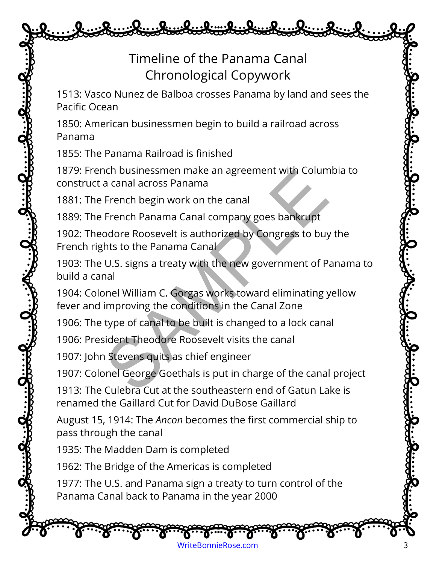## Timeline of the Panama Canal Chronological Copywork

1513: Vasco Nunez de Balboa crosses Panama by land and sees the Pacific Ocean

1850: American businessmen begin to build a railroad across Panama

1855: The Panama Railroad is finished

1879: French businessmen make an agreement with Columbia to construct a canal across Panama

1881: The French begin work on the canal

1889: The French Panama Canal company goes bankrupt

1902: Theodore Roosevelt is authorized by Congress to buy the French rights to the Panama Canal

1903: The U.S. signs a treaty with the new government of Panama to build a canal nch businessmen make an agreement with Colum<br>
a canal across Panama<br>
French begin work on the canal<br>
French Panama Canal company goes bankrupt<br>
podore Roosevelt is authorized by Congress to buy<br>
hts to the Panama Canal<br>
U.

1904: Colonel William C. Gorgas works toward eliminating yellow fever and improving the conditions in the Canal Zone

1906: The type of canal to be built is changed to a lock canal

1906: President Theodore Roosevelt visits the canal

1907: John Stevens quits as chief engineer

1907: Colonel George Goethals is put in charge of the canal project

1913: The Culebra Cut at the southeastern end of Gatun Lake is renamed the Gaillard Cut for David DuBose Gaillard

August 15, 1914: The *Ancon* becomes the first commercial ship to pass through the canal

1935: The Madden Dam is completed

1962: The Bridge of the Americas is completed

1977: The U.S. and Panama sign a treaty to turn control of the Panama Canal back to Panama in the year 2000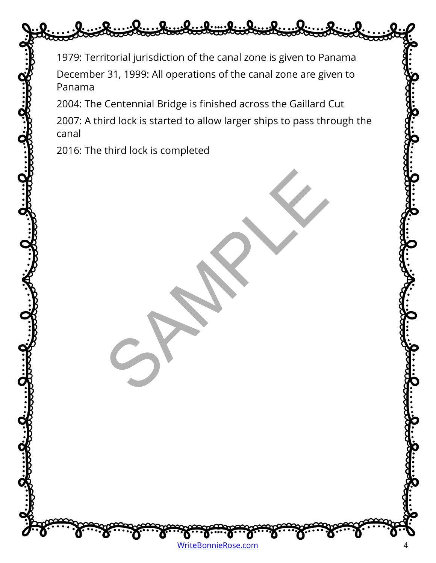1979: Territorial jurisdiction of the canal zone is given to Panama December 31, 1999: All operations of the canal zone are given to Panama

2004: The Centennial Bridge is finished across the Gaillard Cut

2007: A third lock is started to allow larger ships to pass through the canal

SPAMPLE

2016: The third lock is completed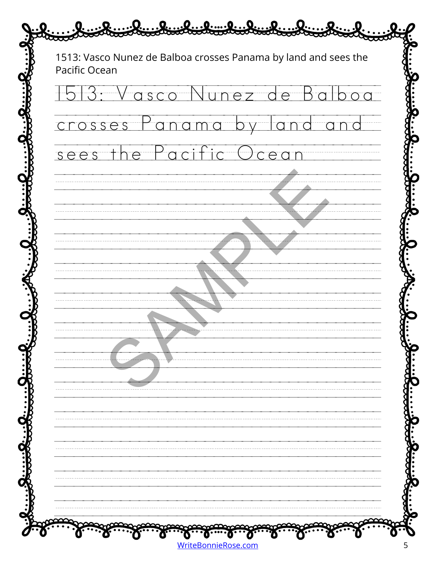| Pacific Ocean | 1513: Vasco Nunez de Balboa crosses Panama by land and sees the |  |
|---------------|-----------------------------------------------------------------|--|
| $+5$          | : Vasco Nunez de                                                |  |
| crosses       | $\alpha$ n<br>$\overline{C}$<br>m <sub>0</sub>                  |  |
| sees          | Pacific Ocea<br>he                                              |  |
|               |                                                                 |  |
|               |                                                                 |  |
|               |                                                                 |  |
|               |                                                                 |  |
|               |                                                                 |  |
|               |                                                                 |  |
|               |                                                                 |  |
|               |                                                                 |  |
|               |                                                                 |  |
|               |                                                                 |  |
|               |                                                                 |  |
|               |                                                                 |  |